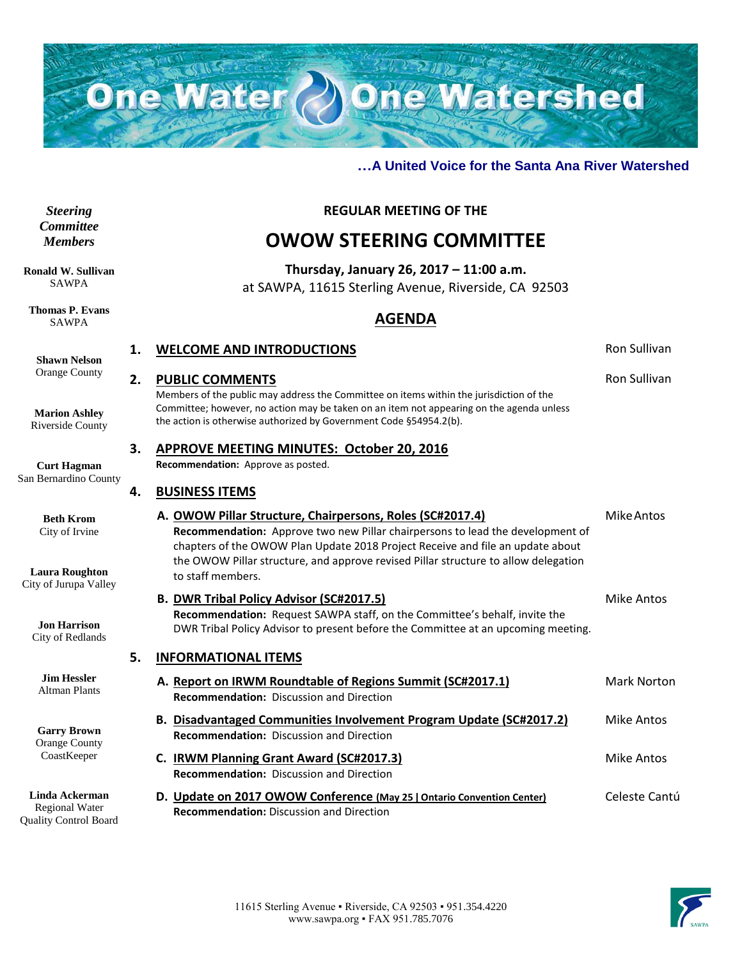

#### **…A United Voice for the Santa Ana River Watershed**

#### *Steering Committee Members*

**Ronald W. Sullivan** SAWPA

**Thomas P. Evans** SAWPA

**Shawn Nelson** Orange County

**Marion Ashley** Riverside County

**Curt Hagman** San Bernardino Cou

> **Beth Krom** City of Irvine

**Laura Roughton** City of Jurupa Vall

> **Jon Harrison** City of Redlands

**Jim Hessler** Altman Plants

**Garry Brown** Orange County **CoastKeeper** 

**Linda Ackerman** Regional Water Quality Control Board  **REGULAR MEETING OF THE**

# **OWOW STEERING COMMITTEE**

**Thursday, January 26, 2017 – 11:00 a.m.** at SAWPA, 11615 Sterling Avenue, Riverside, CA 92503

# **AGENDA**

|      | 1. | <b>WELCOME AND INTRODUCTIONS</b>                                                                                                                                                                                                                                                                                                          |                     |
|------|----|-------------------------------------------------------------------------------------------------------------------------------------------------------------------------------------------------------------------------------------------------------------------------------------------------------------------------------------------|---------------------|
|      | 2. | <b>PUBLIC COMMENTS</b><br>Members of the public may address the Committee on items within the jurisdiction of the<br>Committee; however, no action may be taken on an item not appearing on the agenda unless<br>the action is otherwise authorized by Government Code §54954.2(b).                                                       | <b>Ron Sullivan</b> |
|      | 3. | <b>APPROVE MEETING MINUTES: October 20, 2016</b><br>Recommendation: Approve as posted.                                                                                                                                                                                                                                                    |                     |
| ınty | 4. | <b>BUSINESS ITEMS</b>                                                                                                                                                                                                                                                                                                                     |                     |
| ley  |    | A. OWOW Pillar Structure, Chairpersons, Roles (SC#2017.4)<br>Recommendation: Approve two new Pillar chairpersons to lead the development of<br>chapters of the OWOW Plan Update 2018 Project Receive and file an update about<br>the OWOW Pillar structure, and approve revised Pillar structure to allow delegation<br>to staff members. | Mike Antos          |
|      |    | <b>B. DWR Tribal Policy Advisor (SC#2017.5)</b><br>Recommendation: Request SAWPA staff, on the Committee's behalf, invite the<br>DWR Tribal Policy Advisor to present before the Committee at an upcoming meeting.                                                                                                                        | <b>Mike Antos</b>   |
|      | 5. | <b>INFORMATIONAL ITEMS</b>                                                                                                                                                                                                                                                                                                                |                     |
|      |    | A. Report on IRWM Roundtable of Regions Summit (SC#2017.1)<br><b>Recommendation:</b> Discussion and Direction                                                                                                                                                                                                                             | Mark Norton         |
|      |    | B. Disadvantaged Communities Involvement Program Update (SC#2017.2)<br><b>Recommendation: Discussion and Direction</b>                                                                                                                                                                                                                    | <b>Mike Antos</b>   |
|      |    | C. IRWM Planning Grant Award (SC#2017.3)<br><b>Recommendation: Discussion and Direction</b>                                                                                                                                                                                                                                               | <b>Mike Antos</b>   |
| n    |    | D. Update on 2017 OWOW Conference (May 25   Ontario Convention Center)<br><b>Recommendation: Discussion and Direction</b>                                                                                                                                                                                                                 | Celeste Cantú       |